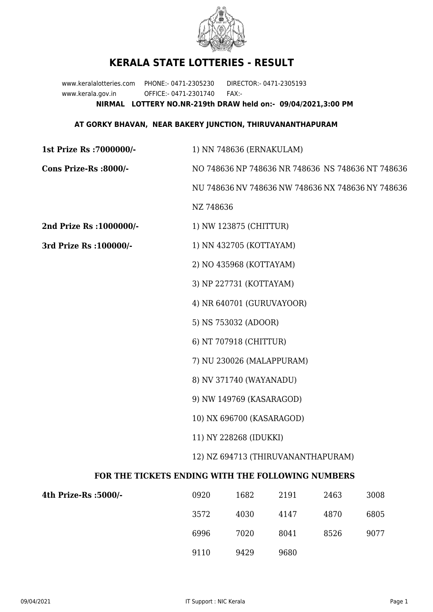

## **KERALA STATE LOTTERIES - RESULT**

www.keralalotteries.com PHONE:- 0471-2305230 DIRECTOR:- 0471-2305193 www.kerala.gov.in OFFICE:- 0471-2301740 FAX:- **NIRMAL LOTTERY NO.NR-219th DRAW held on:- 09/04/2021,3:00 PM**

## **AT GORKY BHAVAN, NEAR BAKERY JUNCTION, THIRUVANANTHAPURAM**

| 1st Prize Rs : 7000000/-                          | 1) NN 748636 (ERNAKULAM)                          |                         |      |      |                                                   |  |
|---------------------------------------------------|---------------------------------------------------|-------------------------|------|------|---------------------------------------------------|--|
| Cons Prize-Rs :8000/-                             | NO 748636 NP 748636 NR 748636 NS 748636 NT 748636 |                         |      |      |                                                   |  |
|                                                   |                                                   |                         |      |      | NU 748636 NV 748636 NW 748636 NX 748636 NY 748636 |  |
|                                                   | NZ 748636                                         |                         |      |      |                                                   |  |
| 2nd Prize Rs : 1000000/-                          |                                                   | 1) NW 123875 (CHITTUR)  |      |      |                                                   |  |
| 3rd Prize Rs : 100000/-                           | 1) NN 432705 (KOTTAYAM)                           |                         |      |      |                                                   |  |
|                                                   |                                                   | 2) NO 435968 (KOTTAYAM) |      |      |                                                   |  |
|                                                   | 3) NP 227731 (KOTTAYAM)                           |                         |      |      |                                                   |  |
|                                                   | 4) NR 640701 (GURUVAYOOR)                         |                         |      |      |                                                   |  |
|                                                   | 5) NS 753032 (ADOOR)                              |                         |      |      |                                                   |  |
|                                                   | 6) NT 707918 (CHITTUR)                            |                         |      |      |                                                   |  |
|                                                   | 7) NU 230026 (MALAPPURAM)                         |                         |      |      |                                                   |  |
|                                                   | 8) NV 371740 (WAYANADU)                           |                         |      |      |                                                   |  |
|                                                   | 9) NW 149769 (KASARAGOD)                          |                         |      |      |                                                   |  |
|                                                   | 10) NX 696700 (KASARAGOD)                         |                         |      |      |                                                   |  |
|                                                   | 11) NY 228268 (IDUKKI)                            |                         |      |      |                                                   |  |
|                                                   | 12) NZ 694713 (THIRUVANANTHAPURAM)                |                         |      |      |                                                   |  |
| FOR THE TICKETS ENDING WITH THE FOLLOWING NUMBERS |                                                   |                         |      |      |                                                   |  |
| 4th Prize-Rs :5000/-                              | 0920                                              | 1682                    | 2191 | 2463 | 3008                                              |  |
|                                                   |                                                   |                         |      |      |                                                   |  |

| 0920 | 1682 | 2191 | 2463 | 3008 |
|------|------|------|------|------|
| 3572 | 4030 | 4147 | 4870 | 6805 |
| 6996 | 7020 | 8041 | 8526 | 9077 |
| 9110 | 9429 | 9680 |      |      |
|      |      |      |      |      |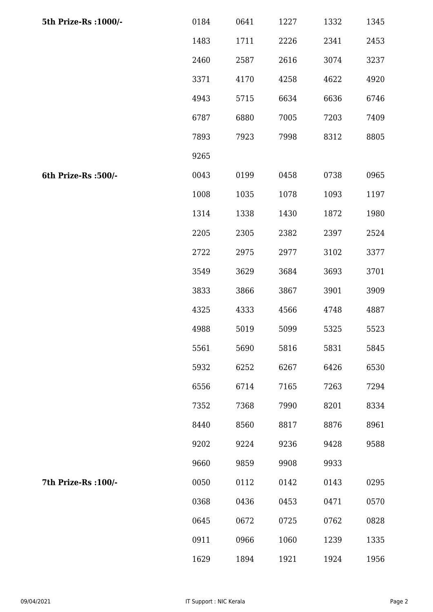| 5th Prize-Rs : 1000/- | 0184 | 0641 | 1227 | 1332 | 1345 |
|-----------------------|------|------|------|------|------|
|                       | 1483 | 1711 | 2226 | 2341 | 2453 |
|                       | 2460 | 2587 | 2616 | 3074 | 3237 |
|                       | 3371 | 4170 | 4258 | 4622 | 4920 |
|                       | 4943 | 5715 | 6634 | 6636 | 6746 |
|                       | 6787 | 6880 | 7005 | 7203 | 7409 |
|                       | 7893 | 7923 | 7998 | 8312 | 8805 |
|                       | 9265 |      |      |      |      |
| 6th Prize-Rs :500/-   | 0043 | 0199 | 0458 | 0738 | 0965 |
|                       | 1008 | 1035 | 1078 | 1093 | 1197 |
|                       | 1314 | 1338 | 1430 | 1872 | 1980 |
|                       | 2205 | 2305 | 2382 | 2397 | 2524 |
|                       | 2722 | 2975 | 2977 | 3102 | 3377 |
|                       | 3549 | 3629 | 3684 | 3693 | 3701 |
|                       | 3833 | 3866 | 3867 | 3901 | 3909 |
|                       | 4325 | 4333 | 4566 | 4748 | 4887 |
|                       | 4988 | 5019 | 5099 | 5325 | 5523 |
|                       | 5561 | 5690 | 5816 | 5831 | 5845 |
|                       | 5932 | 6252 | 6267 | 6426 | 6530 |
|                       | 6556 | 6714 | 7165 | 7263 | 7294 |
|                       | 7352 | 7368 | 7990 | 8201 | 8334 |
|                       | 8440 | 8560 | 8817 | 8876 | 8961 |
|                       | 9202 | 9224 | 9236 | 9428 | 9588 |
|                       | 9660 | 9859 | 9908 | 9933 |      |
| 7th Prize-Rs : 100/-  | 0050 | 0112 | 0142 | 0143 | 0295 |
|                       | 0368 | 0436 | 0453 | 0471 | 0570 |
|                       | 0645 | 0672 | 0725 | 0762 | 0828 |
|                       | 0911 | 0966 | 1060 | 1239 | 1335 |
|                       | 1629 | 1894 | 1921 | 1924 | 1956 |